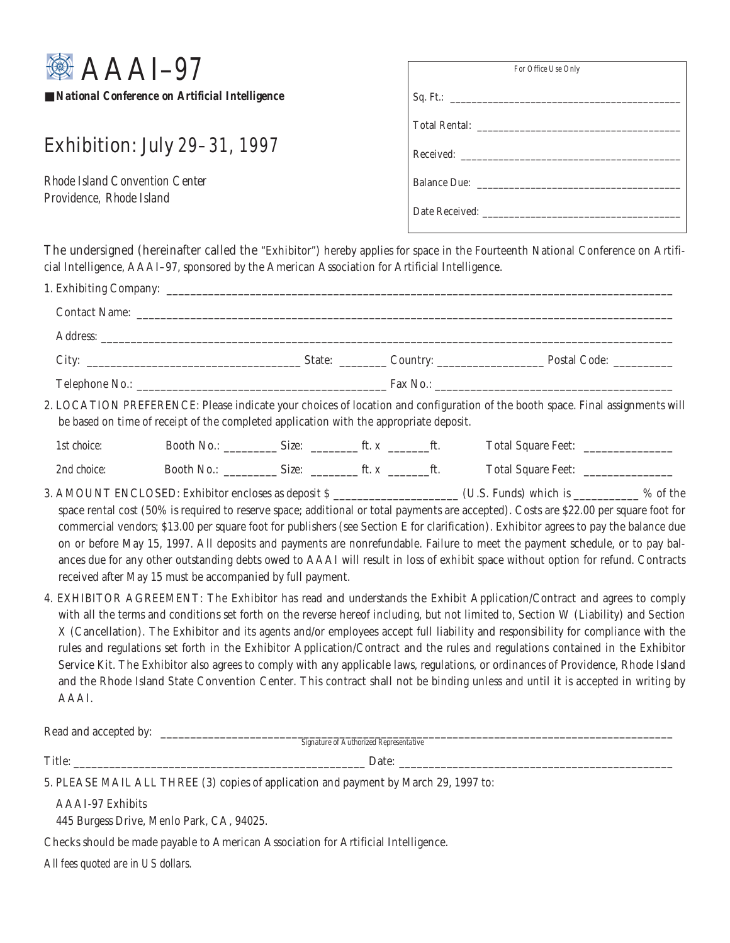

■ *National Conference on Artificial Intelligence* 

## Exhibition: July 29–31, 1997

*Rhode Island Convention Center Providence, Rhode Island*

| For Office Use Only |
|---------------------|
|                     |
|                     |
|                     |
|                     |
|                     |

The undersigned (hereinafter called the "Exhibitor") hereby applies for space in the Fourteenth National Conference on Artificial Intelligence, AAAI–97, sponsored by the American Association for Artificial Intelligence.

|             | Address: <u>Address:</u> Address: Address: Address: Address: Address: Address: Address: Address: Address: Address: Address: Address: Address: Address: Address: Address: Address: Address: Address: Address: Address: Address: Addr |  |  |  |                                                                                                                                                                                                                                                                                                                                                                                                                                                                                                                                                                                                                                                                                      |  |
|-------------|-------------------------------------------------------------------------------------------------------------------------------------------------------------------------------------------------------------------------------------|--|--|--|--------------------------------------------------------------------------------------------------------------------------------------------------------------------------------------------------------------------------------------------------------------------------------------------------------------------------------------------------------------------------------------------------------------------------------------------------------------------------------------------------------------------------------------------------------------------------------------------------------------------------------------------------------------------------------------|--|
|             |                                                                                                                                                                                                                                     |  |  |  |                                                                                                                                                                                                                                                                                                                                                                                                                                                                                                                                                                                                                                                                                      |  |
|             |                                                                                                                                                                                                                                     |  |  |  |                                                                                                                                                                                                                                                                                                                                                                                                                                                                                                                                                                                                                                                                                      |  |
|             | be based on time of receipt of the completed application with the appropriate deposit.                                                                                                                                              |  |  |  | 2. LOCATION PREFERENCE: Please indicate your choices of location and configuration of the booth space. Final assignments will                                                                                                                                                                                                                                                                                                                                                                                                                                                                                                                                                        |  |
| 1st choice: |                                                                                                                                                                                                                                     |  |  |  | Booth No.: Size: Size: Size: The x Size: Total Square Feet: 2011                                                                                                                                                                                                                                                                                                                                                                                                                                                                                                                                                                                                                     |  |
| 2nd choice: |                                                                                                                                                                                                                                     |  |  |  |                                                                                                                                                                                                                                                                                                                                                                                                                                                                                                                                                                                                                                                                                      |  |
|             | received after May 15 must be accompanied by full payment.                                                                                                                                                                          |  |  |  | 3. AMOUNT ENCLOSED: Exhibitor encloses as deposit \$ _____________________________ (U.S. Funds) which is ___________ % of the<br>space rental cost (50% is required to reserve space; additional or total payments are accepted). Costs are \$22.00 per square foot for<br>commercial vendors; \$13.00 per square foot for publishers (see Section E for clarification). Exhibitor agrees to pay the balance due<br>on or before May 15, 1997. All deposits and payments are nonrefundable. Failure to meet the payment schedule, or to pay bal-<br>ances due for any other outstanding debts owed to AAAI will result in loss of exhibit space without option for refund. Contracts |  |

4. EXHIBITOR AGREEMENT: The Exhibitor has read and understands the Exhibit Application/Contract and agrees to comply with all the terms and conditions set forth on the reverse hereof including, but not limited to, Section W (Liability) and Section X (Cancellation). The Exhibitor and its agents and/or employees accept full liability and responsibility for compliance with the rules and regulations set forth in the Exhibitor Application/Contract and the rules and regulations contained in the Exhibitor Service Kit. The Exhibitor also agrees to comply with any applicable laws, regulations, or ordinances of Providence, Rhode Island and the Rhode Island State Convention Center. This contract shall not be binding unless and until it is accepted in writing by AAAI.

Read and accepted by: \_\_\_\_\_\_\_\_\_\_\_\_\_\_\_\_\_\_\_\_\_\_\_\_\_\_\_\_\_\_\_\_\_\_\_\_\_\_\_\_\_\_\_\_\_\_\_\_\_\_\_\_\_\_\_\_\_\_\_\_\_\_\_\_\_\_\_\_\_\_\_\_\_\_\_\_\_\_\_\_\_\_\_\_\_\_

*Signature of Authorized Representative*

Title:  $\Box$ 

5. PLEASE MAIL ALL THREE (3) copies of application and payment by March 29, 1997 to:

AAAI-97 Exhibits

445 Burgess Drive, Menlo Park, CA, 94025.

Checks should be made payable to American Association for Artificial Intelligence.

*All fees quoted are in US dollars.*